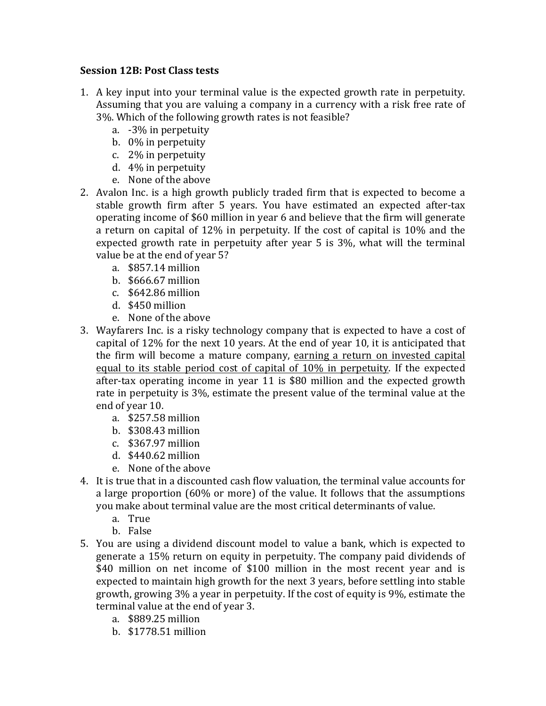## **Session 12B**: Post Class tests

- 1. A key input into your terminal value is the expected growth rate in perpetuity. Assuming that you are valuing a company in a currency with a risk free rate of 3%. Which of the following growth rates is not feasible?
	- a. -3% in perpetuity
	- b. 0% in perpetuity
	- c.  $2\%$  in perpetuity
	- d. 4% in perpetuity
	- e. None of the above
- 2. Avalon Inc. is a high growth publicly traded firm that is expected to become a stable growth firm after 5 years. You have estimated an expected after-tax operating income of \$60 million in year 6 and believe that the firm will generate a return on capital of 12% in perpetuity. If the cost of capital is 10% and the expected growth rate in perpetuity after year  $5$  is  $3\%$ , what will the terminal value be at the end of year 5?
	- a. \$857.14 million
	- b. \$666.67 million
	- c. \$642.86 million
	- d. \$450 million
	- e. None of the above
- 3. Wayfarers Inc. is a risky technology company that is expected to have a cost of capital of  $12\%$  for the next 10 years. At the end of year 10, it is anticipated that the firm will become a mature company, earning a return on invested capital equal to its stable period cost of capital of  $10\%$  in perpetuity. If the expected after-tax operating income in year 11 is \$80 million and the expected growth rate in perpetuity is  $3\%$ , estimate the present value of the terminal value at the end of year 10.
	- a. \$257.58 million
	- b. \$308.43 million
	- c. \$367.97 million
	- d. \$440.62 million
	- e. None of the above
- 4. It is true that in a discounted cash flow valuation, the terminal value accounts for a large proportion  $(60\% \text{ or more})$  of the value. It follows that the assumptions you make about terminal value are the most critical determinants of value.
	- a. True
	- b. False
- 5. You are using a dividend discount model to value a bank, which is expected to generate a 15% return on equity in perpetuity. The company paid dividends of \$40 million on net income of \$100 million in the most recent year and is expected to maintain high growth for the next 3 years, before settling into stable growth, growing  $3\%$  a year in perpetuity. If the cost of equity is  $9\%$ , estimate the terminal value at the end of year 3.
	- a. \$889.25 million
	- b. \$1778.51 million